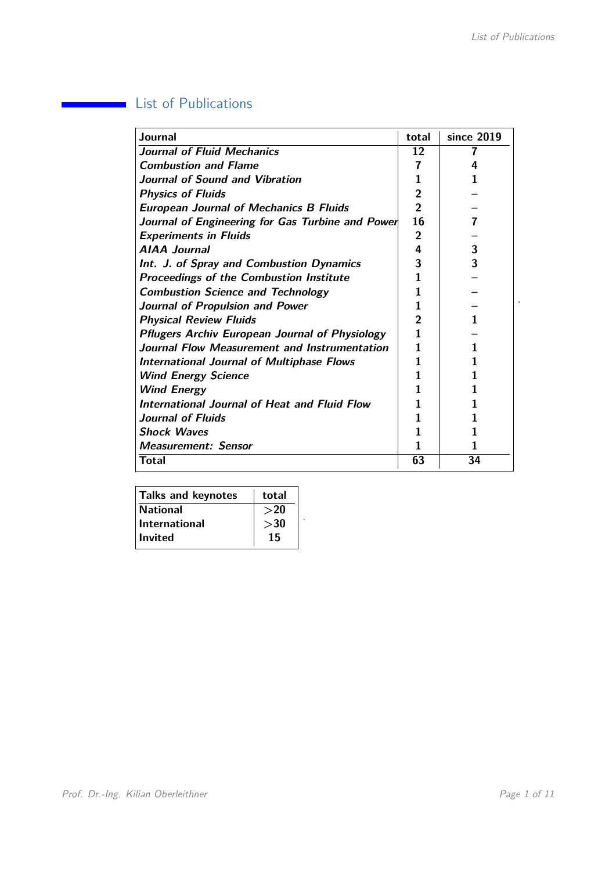## **List of Publications**

| Journal                                               | total          | since 2019 |
|-------------------------------------------------------|----------------|------------|
| <b>Journal of Fluid Mechanics</b>                     | 12             |            |
| <b>Combustion and Flame</b>                           | 7              | Δ          |
| Journal of Sound and Vibration                        |                |            |
| <b>Physics of Fluids</b>                              | 2              |            |
| <b>European Journal of Mechanics B Fluids</b>         | 2              |            |
| Journal of Engineering for Gas Turbine and Power      | 16             | 7          |
| <b>Experiments in Fluids</b>                          | $\overline{2}$ |            |
| <b>AIAA Journal</b>                                   | 4              | 3          |
| Int. J. of Spray and Combustion Dynamics              | 3              | 3          |
| <b>Proceedings of the Combustion Institute</b>        |                |            |
| <b>Combustion Science and Technology</b>              |                |            |
| Journal of Propulsion and Power                       |                |            |
| <b>Physical Review Fluids</b>                         | 2              |            |
| <b>Pflugers Archiv European Journal of Physiology</b> | 1              |            |
| Journal Flow Measurement and Instrumentation          |                |            |
| <b>International Journal of Multiphase Flows</b>      |                |            |
| <b>Wind Energy Science</b>                            |                |            |
| <b>Wind Energy</b>                                    |                |            |
| International Journal of Heat and Fluid Flow          |                |            |
| <b>Journal of Fluids</b>                              |                |            |
| <b>Shock Waves</b>                                    |                |            |
| <b>Measurement: Sensor</b>                            |                |            |
| <b>Total</b>                                          | 63             | 34         |

| Talks and keynotes   | total  |
|----------------------|--------|
| <b>National</b>      | $>$ 20 |
| <b>International</b> | >30    |
| ∣ Invited            | 15     |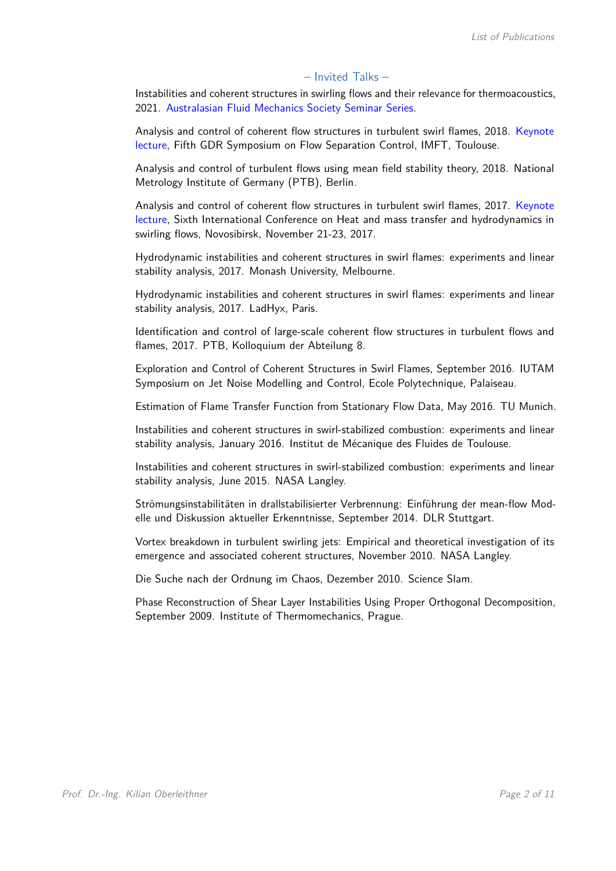## – Invited Talks –

Instabilities and coherent structures in swirling flows and their relevance for thermoacoustics, 2021. Australasian Fluid Mechanics Society Seminar Series.

Analysis and control of coherent flow structures in turbulent swirl flames, 2018. Keynote lecture, Fifth GDR Symposium on Flow Separation Control, IMFT, Toulouse.

Analysis and control of turbulent flows using mean field stability theory, 2018. National Metrology Institute of Germany (PTB), Berlin.

Analysis and control of coherent flow structures in turbulent swirl flames, 2017. Keynote lecture, Sixth International Conference on Heat and mass transfer and hydrodynamics in swirling flows, Novosibirsk, November 21-23, 2017.

Hydrodynamic instabilities and coherent structures in swirl flames: experiments and linear stability analysis, 2017. Monash University, Melbourne.

Hydrodynamic instabilities and coherent structures in swirl flames: experiments and linear stability analysis, 2017. LadHyx, Paris.

Identification and control of large-scale coherent flow structures in turbulent flows and flames, 2017. PTB, Kolloquium der Abteilung 8.

Exploration and Control of Coherent Structures in Swirl Flames, September 2016. IUTAM Symposium on Jet Noise Modelling and Control, Ecole Polytechnique, Palaiseau.

Estimation of Flame Transfer Function from Stationary Flow Data, May 2016. TU Munich.

Instabilities and coherent structures in swirl-stabilized combustion: experiments and linear stability analysis, January 2016. Institut de Mécanique des Fluides de Toulouse.

Instabilities and coherent structures in swirl-stabilized combustion: experiments and linear stability analysis, June 2015. NASA Langley.

Strömungsinstabilitäten in drallstabilisierter Verbrennung: Einführung der mean-flow Modelle und Diskussion aktueller Erkenntnisse, September 2014. DLR Stuttgart.

Vortex breakdown in turbulent swirling jets: Empirical and theoretical investigation of its emergence and associated coherent structures, November 2010. NASA Langley.

Die Suche nach der Ordnung im Chaos, Dezember 2010. Science Slam.

Phase Reconstruction of Shear Layer Instabilities Using Proper Orthogonal Decomposition, September 2009. Institute of Thermomechanics, Prague.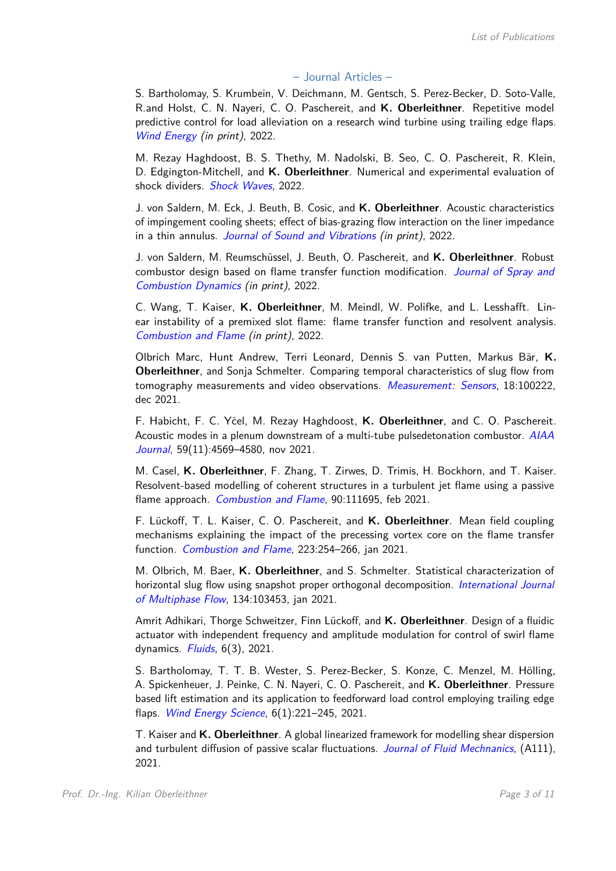## – Journal Articles –

S. Bartholomay, S. Krumbein, V. Deichmann, M. Gentsch, S. Perez-Becker, D. Soto-Valle, R.and Holst, C. N. Nayeri, C. O. Paschereit, and **K. Oberleithner**. Repetitive model predictive control for load alleviation on a research wind turbine using trailing edge flaps. Wind Energy (in print), 2022.

M. Rezay Haghdoost, B. S. Thethy, M. Nadolski, B. Seo, C. O. Paschereit, R. Klein, D. Edgington-Mitchell, and **K. Oberleithner**. Numerical and experimental evaluation of shock dividers. Shock Waves, 2022.

J. von Saldern, M. Eck, J. Beuth, B. Cosic, and **K. Oberleithner**. Acoustic characteristics of impingement cooling sheets; effect of bias-grazing flow interaction on the liner impedance in a thin annulus. Journal of Sound and Vibrations (in print), 2022.

J. von Saldern, M. Reumschüssel, J. Beuth, O. Paschereit, and **K. Oberleithner**. Robust combustor design based on flame transfer function modification. Journal of Spray and Combustion Dynamics (in print), 2022.

C. Wang, T. Kaiser, **K. Oberleithner**, M. Meindl, W. Polifke, and L. Lesshafft. Linear instability of a premixed slot flame: flame transfer function and resolvent analysis. Combustion and Flame (in print), 2022.

Olbrich Marc, Hunt Andrew, Terri Leonard, Dennis S. van Putten, Markus Bär, **K. Oberleithner**, and Sonja Schmelter. Comparing temporal characteristics of slug flow from tomography measurements and video observations. Measurement: Sensors, 18:100222, dec 2021.

F. Habicht, F. C. Yöel, M. Rezay Haghdoost, K. Oberleithner, and C. O. Paschereit. Acoustic modes in a plenum downstream of a multi-tube pulsedetonation combustor. AIAA Journal, 59(11):4569-4580, nov 2021.

M. Casel, **K. Oberleithner**, F. Zhang, T. Zirwes, D. Trimis, H. Bockhorn, and T. Kaiser. Resolvent-based modelling of coherent structures in a turbulent jet flame using a passive flame approach. Combustion and Flame, 90:111695, feb 2021.

F. Lückoff, T. L. Kaiser, C. O. Paschereit, and **K. Oberleithner**. Mean field coupling mechanisms explaining the impact of the precessing vortex core on the flame transfer function. Combustion and Flame, 223:254-266, jan 2021.

M. Olbrich, M. Baer, **K. Oberleithner**, and S. Schmelter. Statistical characterization of horizontal slug flow using snapshot proper orthogonal decomposition. *International Journal* of Multiphase Flow, 134:103453, jan 2021.

Amrit Adhikari, Thorge Schweitzer, Finn Lückoff, and **K. Oberleithner**. Design of a fluidic actuator with independent frequency and amplitude modulation for control of swirl flame dynamics.  $Fluids$ ,  $6(3)$ , 2021.

S. Bartholomay, T. T. B. Wester, S. Perez-Becker, S. Konze, C. Menzel, M. Hölling, A. Spickenheuer, J. Peinke, C. N. Nayeri, C. O. Paschereit, and **K. Oberleithner**. Pressure based lift estimation and its application to feedforward load control employing trailing edge flaps. Wind Energy Science, 6(1):221–245, 2021.

T. Kaiser and **K. Oberleithner**. A global linearized framework for modelling shear dispersion and turbulent diffusion of passive scalar fluctuations. Journal of Fluid Mechnanics, (A111), 2021.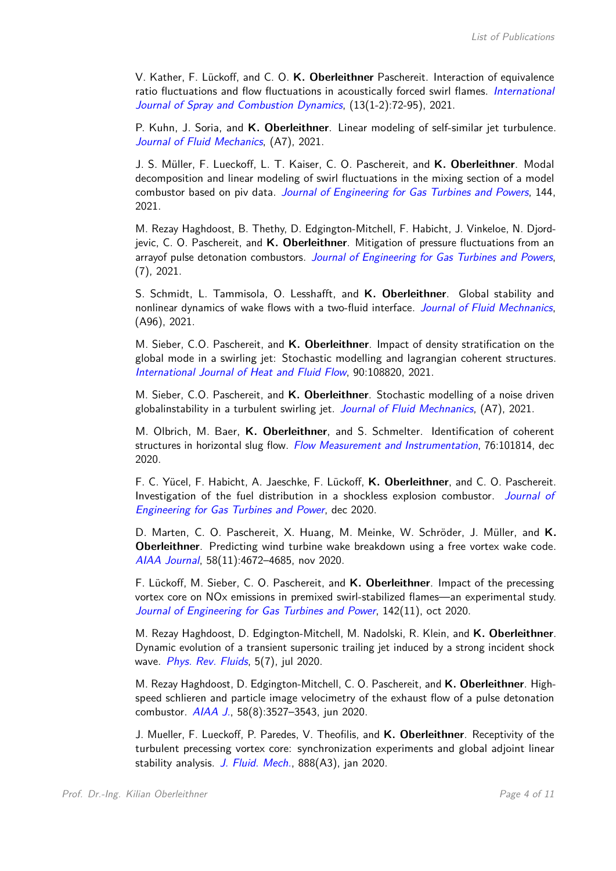V. Kather, F. Lückoff, and C. O. **K. Oberleithner** Paschereit. Interaction of equivalence ratio fluctuations and flow fluctuations in acoustically forced swirl flames. International Journal of Spray and Combustion Dynamics, (13(1-2):72-95), 2021.

P. Kuhn, J. Soria, and **K. Oberleithner**. Linear modeling of self-similar jet turbulence. Journal of Fluid Mechanics, (A7), 2021.

J. S. Müller, F. Lueckoff, L. T. Kaiser, C. O. Paschereit, and **K. Oberleithner**. Modal decomposition and linear modeling of swirl fluctuations in the mixing section of a model combustor based on piv data. Journal of Engineering for Gas Turbines and Powers, 144, 2021.

M. Rezay Haghdoost, B. Thethy, D. Edgington-Mitchell, F. Habicht, J. Vinkeloe, N. Djordjevic, C. O. Paschereit, and **K. Oberleithner**. Mitigation of pressure fluctuations from an arrayof pulse detonation combustors. Journal of Engineering for Gas Turbines and Powers, (7), 2021.

S. Schmidt, L. Tammisola, O. Lesshafft, and **K. Oberleithner**. Global stability and nonlinear dynamics of wake flows with a two-fluid interface. Journal of Fluid Mechnanics, (A96), 2021.

M. Sieber, C.O. Paschereit, and **K. Oberleithner**. Impact of density stratification on the global mode in a swirling jet: Stochastic modelling and lagrangian coherent structures. International Journal of Heat and Fluid Flow, 90:108820, 2021.

M. Sieber, C.O. Paschereit, and **K. Oberleithner**. Stochastic modelling of a noise driven globalinstability in a turbulent swirling jet. Journal of Fluid Mechnanics, (A7), 2021.

M. Olbrich, M. Baer, **K. Oberleithner**, and S. Schmelter. Identification of coherent structures in horizontal slug flow. Flow Measurement and Instrumentation, 76:101814, dec 2020.

F. C. Yücel, F. Habicht, A. Jaeschke, F. Lückoff, **K. Oberleithner**, and C. O. Paschereit. Investigation of the fuel distribution in a shockless explosion combustor. Journal of Engineering for Gas Turbines and Power, dec 2020.

D. Marten, C. O. Paschereit, X. Huang, M. Meinke, W. Schröder, J. Müller, and **K. Oberleithner**. Predicting wind turbine wake breakdown using a free vortex wake code. AIAA Journal, 58(11):4672–4685, nov 2020.

F. Lückoff, M. Sieber, C. O. Paschereit, and **K. Oberleithner**. Impact of the precessing vortex core on NOx emissions in premixed swirl-stabilized flames—an experimental study. Journal of Engineering for Gas Turbines and Power, 142(11), oct 2020.

M. Rezay Haghdoost, D. Edgington-Mitchell, M. Nadolski, R. Klein, and **K. Oberleithner**. Dynamic evolution of a transient supersonic trailing jet induced by a strong incident shock wave. Phys. Rev. Fluids, 5(7), jul 2020.

M. Rezay Haghdoost, D. Edgington-Mitchell, C. O. Paschereit, and **K. Oberleithner**. Highspeed schlieren and particle image velocimetry of the exhaust flow of a pulse detonation combustor. AIAA J., 58(8):3527–3543, jun 2020.

J. Mueller, F. Lueckoff, P. Paredes, V. Theofilis, and **K. Oberleithner**. Receptivity of the turbulent precessing vortex core: synchronization experiments and global adjoint linear stability analysis. J. Fluid. Mech., 888(A3), jan 2020.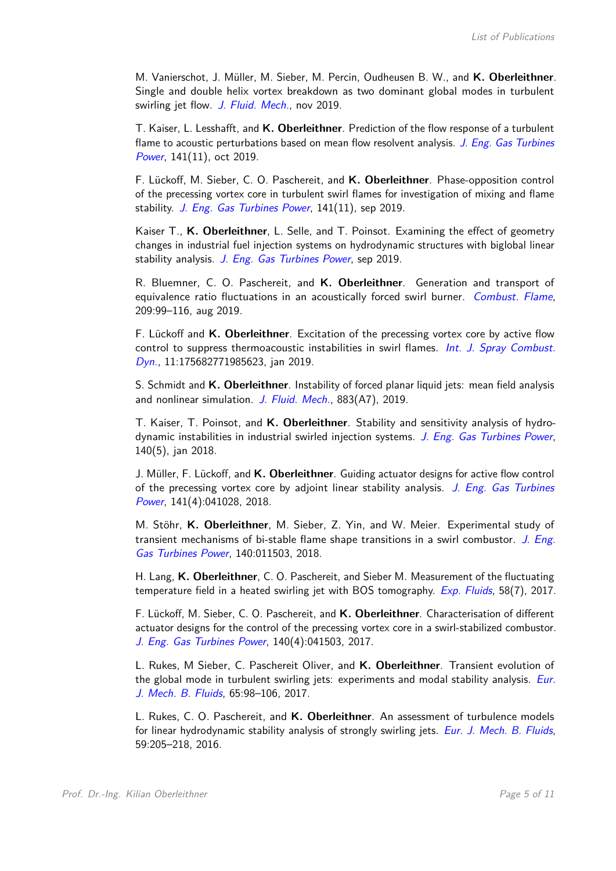M. Vanierschot, J. Müller, M. Sieber, M. Percin, Oudheusen B. W., and **K. Oberleithner**. Single and double helix vortex breakdown as two dominant global modes in turbulent swirling jet flow. J. Fluid. Mech., nov 2019.

T. Kaiser, L. Lesshafft, and **K. Oberleithner**. Prediction of the flow response of a turbulent flame to acoustic perturbations based on mean flow resolvent analysis. J. Eng. Gas Turbines Power, 141(11), oct 2019.

F. Lückoff, M. Sieber, C. O. Paschereit, and **K. Oberleithner**. Phase-opposition control of the precessing vortex core in turbulent swirl flames for investigation of mixing and flame stability. J. Eng. Gas Turbines Power, 141(11), sep 2019.

Kaiser T., **K. Oberleithner**, L. Selle, and T. Poinsot. Examining the effect of geometry changes in industrial fuel injection systems on hydrodynamic structures with biglobal linear stability analysis. J. Eng. Gas Turbines Power, sep 2019.

R. Bluemner, C. O. Paschereit, and **K. Oberleithner**. Generation and transport of equivalence ratio fluctuations in an acoustically forced swirl burner. Combust. Flame, 209:99–116, aug 2019.

F. Lückoff and **K. Oberleithner**. Excitation of the precessing vortex core by active flow control to suppress thermoacoustic instabilities in swirl flames. *Int. J. Spray Combust.* Dyn., 11:175682771985623, jan 2019.

S. Schmidt and **K. Oberleithner**. Instability of forced planar liquid jets: mean field analysis and nonlinear simulation. J. Fluid. Mech., 883(A7), 2019.

T. Kaiser, T. Poinsot, and **K. Oberleithner**. Stability and sensitivity analysis of hydrodynamic instabilities in industrial swirled injection systems. J. Eng. Gas Turbines Power, 140(5), jan 2018.

J. Müller, F. Lückoff, and **K. Oberleithner**. Guiding actuator designs for active flow control of the precessing vortex core by adjoint linear stability analysis. J. Eng. Gas Turbines Power, 141(4):041028, 2018.

M. Stöhr, **K. Oberleithner**, M. Sieber, Z. Yin, and W. Meier. Experimental study of transient mechanisms of bi-stable flame shape transitions in a swirl combustor. J. Eng. Gas Turbines Power, 140:011503, 2018.

H. Lang, **K. Oberleithner**, C. O. Paschereit, and Sieber M. Measurement of the fluctuating temperature field in a heated swirling jet with BOS tomography. Exp. Fluids, 58(7), 2017.

F. Lückoff, M. Sieber, C. O. Paschereit, and **K. Oberleithner**. Characterisation of different actuator designs for the control of the precessing vortex core in a swirl-stabilized combustor. J. Eng. Gas Turbines Power, 140(4):041503, 2017.

L. Rukes, M Sieber, C. Paschereit Oliver, and **K. Oberleithner**. Transient evolution of the global mode in turbulent swirling jets: experiments and modal stability analysis. Eur. J. Mech. B. Fluids, 65:98–106, 2017.

L. Rukes, C. O. Paschereit, and **K. Oberleithner**. An assessment of turbulence models for linear hydrodynamic stability analysis of strongly swirling jets. Eur. J. Mech. B. Fluids, 59:205–218, 2016.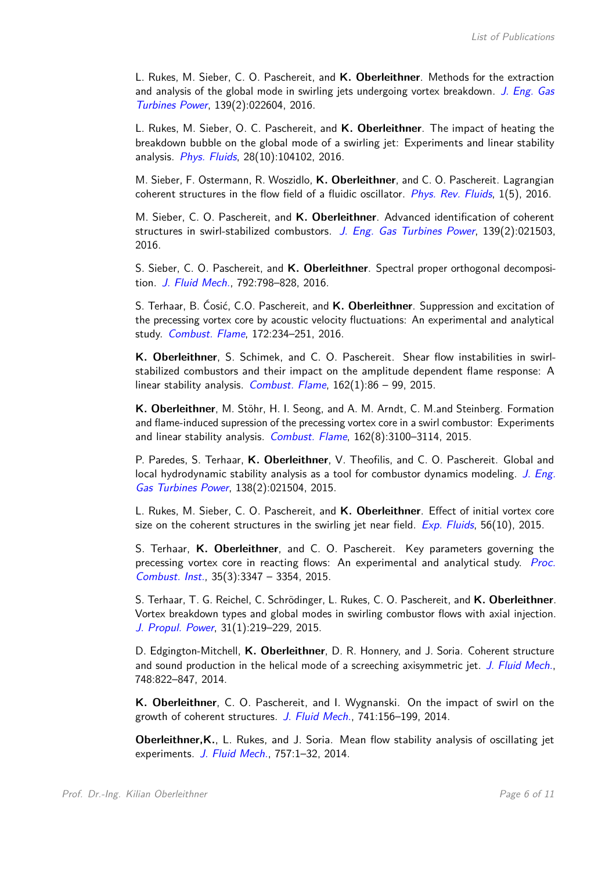L. Rukes, M. Sieber, C. O. Paschereit, and **K. Oberleithner**. Methods for the extraction and analysis of the global mode in swirling jets undergoing vortex breakdown. J. Eng. Gas Turbines Power, 139(2):022604, 2016.

L. Rukes, M. Sieber, O. C. Paschereit, and **K. Oberleithner**. The impact of heating the breakdown bubble on the global mode of a swirling jet: Experiments and linear stability analysis. *Phys. Fluids*, 28(10):104102, 2016.

M. Sieber, F. Ostermann, R. Woszidlo, **K. Oberleithner**, and C. O. Paschereit. Lagrangian coherent structures in the flow field of a fluidic oscillator. *Phys. Rev. Fluids*,  $1(5)$ , 2016.

M. Sieber, C. O. Paschereit, and **K. Oberleithner**. Advanced identification of coherent structures in swirl-stabilized combustors. J. Eng. Gas Turbines Power, 139(2):021503, 2016.

S. Sieber, C. O. Paschereit, and **K. Oberleithner**. Spectral proper orthogonal decomposition. J. Fluid Mech., 792:798–828, 2016.

S. Terhaar, B. Ćosić, C.O. Paschereit, and **K. Oberleithner**. Suppression and excitation of the precessing vortex core by acoustic velocity fluctuations: An experimental and analytical study. Combust. Flame, 172:234-251, 2016.

**K. Oberleithner**, S. Schimek, and C. O. Paschereit. Shear flow instabilities in swirlstabilized combustors and their impact on the amplitude dependent flame response: A linear stability analysis. Combust. Flame,  $162(1):86 - 99$ ,  $2015$ .

**K. Oberleithner**, M. Stöhr, H. I. Seong, and A. M. Arndt, C. M.and Steinberg. Formation and flame-induced supression of the precessing vortex core in a swirl combustor: Experiments and linear stability analysis. Combust. Flame, 162(8):3100-3114, 2015.

P. Paredes, S. Terhaar, **K. Oberleithner**, V. Theofilis, and C. O. Paschereit. Global and local hydrodynamic stability analysis as a tool for combustor dynamics modeling. J. Eng. Gas Turbines Power, 138(2):021504, 2015.

L. Rukes, M. Sieber, C. O. Paschereit, and **K. Oberleithner**. Effect of initial vortex core size on the coherent structures in the swirling jet near field.  $Exp$ . Fluids, 56(10), 2015.

S. Terhaar, **K. Oberleithner**, and C. O. Paschereit. Key parameters governing the precessing vortex core in reacting flows: An experimental and analytical study. Proc. Combust. Inst., 35(3):3347 – 3354, 2015.

S. Terhaar, T. G. Reichel, C. Schrödinger, L. Rukes, C. O. Paschereit, and **K. Oberleithner**. Vortex breakdown types and global modes in swirling combustor flows with axial injection. J. Propul. Power, 31(1):219–229, 2015.

D. Edgington-Mitchell, **K. Oberleithner**, D. R. Honnery, and J. Soria. Coherent structure and sound production in the helical mode of a screeching axisymmetric jet. J. Fluid Mech., 748:822–847, 2014.

**K. Oberleithner**, C. O. Paschereit, and I. Wygnanski. On the impact of swirl on the growth of coherent structures. J. Fluid Mech., 741:156-199, 2014.

**Oberleithner,K.**, L. Rukes, and J. Soria. Mean flow stability analysis of oscillating jet experiments. J. Fluid Mech., 757:1-32, 2014.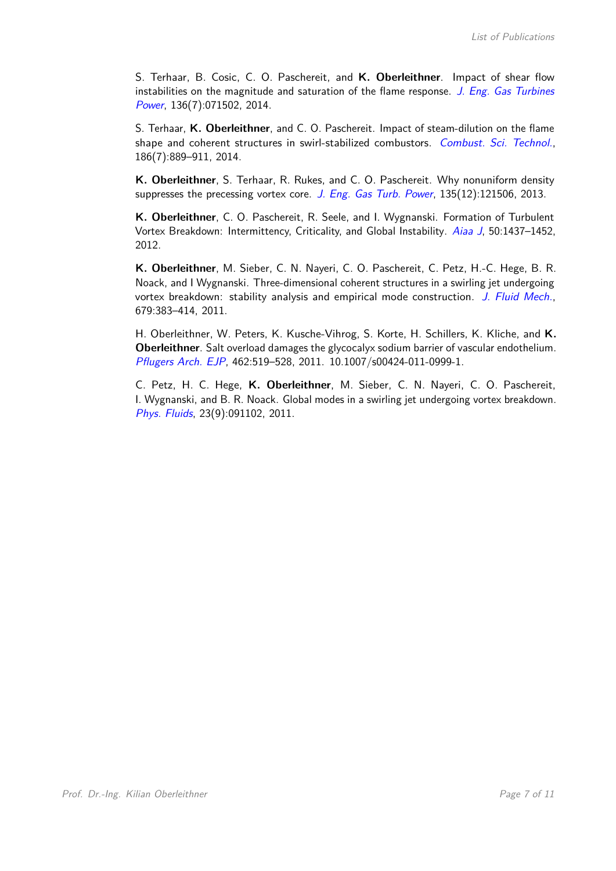S. Terhaar, B. Cosic, C. O. Paschereit, and **K. Oberleithner**. Impact of shear flow instabilities on the magnitude and saturation of the flame response. J. Eng. Gas Turbines Power, 136(7):071502, 2014.

S. Terhaar, **K. Oberleithner**, and C. O. Paschereit. Impact of steam-dilution on the flame shape and coherent structures in swirl-stabilized combustors. Combust. Sci. Technol., 186(7):889–911, 2014.

**K. Oberleithner**, S. Terhaar, R. Rukes, and C. O. Paschereit. Why nonuniform density suppresses the precessing vortex core. J. Eng. Gas Turb. Power,  $135(12):121506$ , 2013.

**K. Oberleithner**, C. O. Paschereit, R. Seele, and I. Wygnanski. Formation of Turbulent Vortex Breakdown: Intermittency, Criticality, and Global Instability. Aiaa J, 50:1437-1452, 2012.

**K. Oberleithner**, M. Sieber, C. N. Nayeri, C. O. Paschereit, C. Petz, H.-C. Hege, B. R. Noack, and I Wygnanski. Three-dimensional coherent structures in a swirling jet undergoing vortex breakdown: stability analysis and empirical mode construction. J. Fluid Mech., 679:383–414, 2011.

H. Oberleithner, W. Peters, K. Kusche-Vihrog, S. Korte, H. Schillers, K. Kliche, and **K. Oberleithner**. Salt overload damages the glycocalyx sodium barrier of vascular endothelium. Pflugers Arch. EJP, 462:519–528, 2011. 10.1007/s00424-011-0999-1.

C. Petz, H. C. Hege, **K. Oberleithner**, M. Sieber, C. N. Nayeri, C. O. Paschereit, I. Wygnanski, and B. R. Noack. Global modes in a swirling jet undergoing vortex breakdown. Phys. Fluids, 23(9):091102, 2011.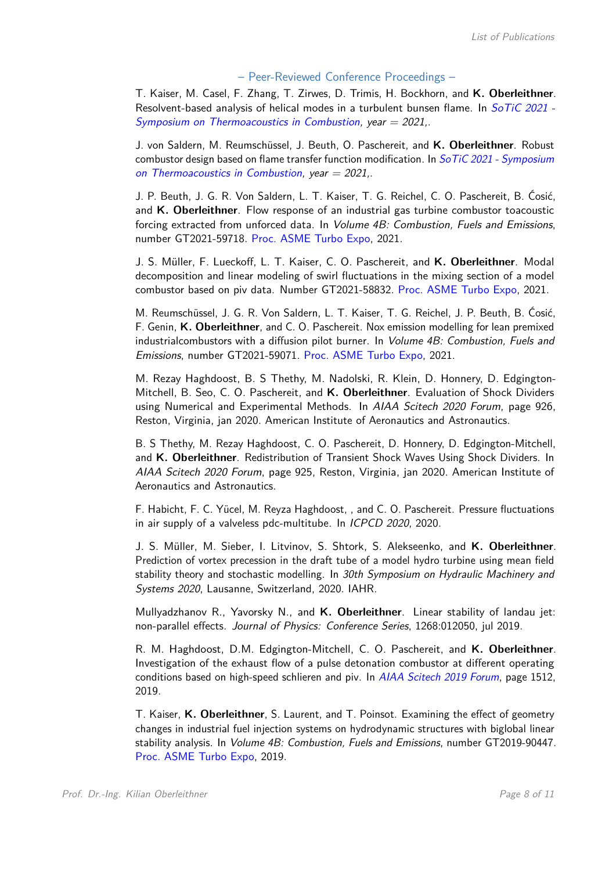## – Peer-Reviewed Conference Proceedings –

T. Kaiser, M. Casel, F. Zhang, T. Zirwes, D. Trimis, H. Bockhorn, and **K. Oberleithner**. Resolvent-based analysis of helical modes in a turbulent bunsen flame. In SoTiC 2021 -Symposium on Thermoacoustics in Combustion, year  $= 2021$ .

J. von Saldern, M. Reumschüssel, J. Beuth, O. Paschereit, and **K. Oberleithner**. Robust combustor design based on flame transfer function modification. In  $SoTiC 2021$  - Symposium on Thermoacoustics in Combustion, year  $= 2021$ .

J. P. Beuth, J. G. R. Von Saldern, L. T. Kaiser, T. G. Reichel, C. O. Paschereit, B. Ćosić, and **K. Oberleithner**. Flow response of an industrial gas turbine combustor toacoustic forcing extracted from unforced data. In Volume 4B: Combustion, Fuels and Emissions, number GT2021-59718. Proc. ASME Turbo Expo, 2021.

J. S. Müller, F. Lueckoff, L. T. Kaiser, C. O. Paschereit, and **K. Oberleithner**. Modal decomposition and linear modeling of swirl fluctuations in the mixing section of a model combustor based on piv data. Number GT2021-58832. Proc. ASME Turbo Expo, 2021.

M. Reumschüssel, J. G. R. Von Saldern, L. T. Kaiser, T. G. Reichel, J. P. Beuth, B. Ćosić, F. Genin, **K. Oberleithner**, and C. O. Paschereit. Nox emission modelling for lean premixed industrialcombustors with a diffusion pilot burner. In Volume 4B: Combustion, Fuels and Emissions, number GT2021-59071. Proc. ASME Turbo Expo, 2021.

M. Rezay Haghdoost, B. S Thethy, M. Nadolski, R. Klein, D. Honnery, D. Edgington-Mitchell, B. Seo, C. O. Paschereit, and **K. Oberleithner**. Evaluation of Shock Dividers using Numerical and Experimental Methods. In AIAA Scitech 2020 Forum, page 926, Reston, Virginia, jan 2020. American Institute of Aeronautics and Astronautics.

B. S Thethy, M. Rezay Haghdoost, C. O. Paschereit, D. Honnery, D. Edgington-Mitchell, and **K. Oberleithner**. Redistribution of Transient Shock Waves Using Shock Dividers. In AIAA Scitech 2020 Forum, page 925, Reston, Virginia, jan 2020. American Institute of Aeronautics and Astronautics.

F. Habicht, F. C. Yücel, M. Reyza Haghdoost, , and C. O. Paschereit. Pressure fluctuations in air supply of a valveless pdc-multitube. In ICPCD 2020, 2020.

J. S. Müller, M. Sieber, I. Litvinov, S. Shtork, S. Alekseenko, and **K. Oberleithner**. Prediction of vortex precession in the draft tube of a model hydro turbine using mean field stability theory and stochastic modelling. In 30th Symposium on Hydraulic Machinery and Systems 2020, Lausanne, Switzerland, 2020. IAHR.

Mullyadzhanov R., Yavorsky N., and **K. Oberleithner**. Linear stability of landau jet: non-parallel effects. Journal of Physics: Conference Series, 1268:012050, jul 2019.

R. M. Haghdoost, D.M. Edgington-Mitchell, C. O. Paschereit, and **K. Oberleithner**. Investigation of the exhaust flow of a pulse detonation combustor at different operating conditions based on high-speed schlieren and piv. In AIAA Scitech 2019 Forum, page 1512, 2019.

T. Kaiser, **K. Oberleithner**, S. Laurent, and T. Poinsot. Examining the effect of geometry changes in industrial fuel injection systems on hydrodynamic structures with biglobal linear stability analysis. In Volume 4B: Combustion, Fuels and Emissions, number GT2019-90447. Proc. ASME Turbo Expo, 2019.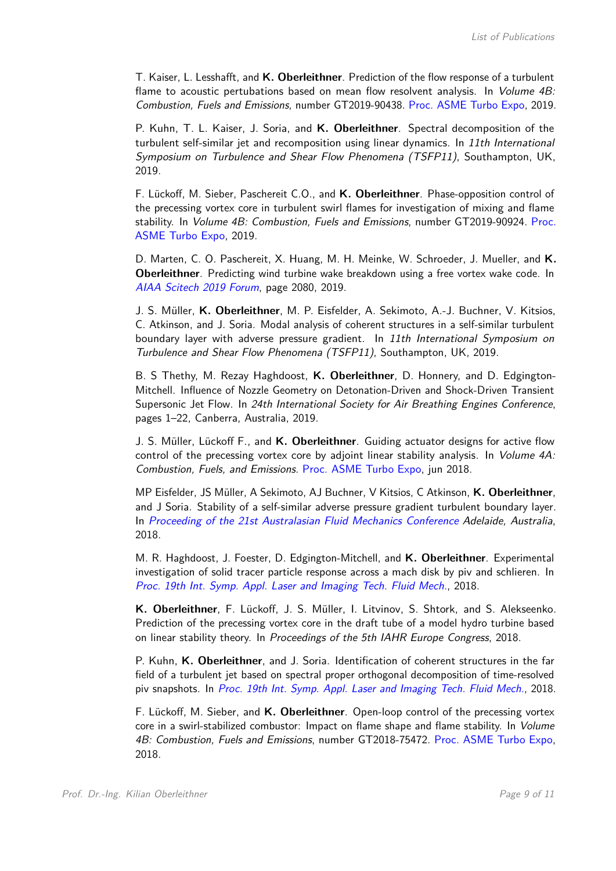T. Kaiser, L. Lesshafft, and **K. Oberleithner**. Prediction of the flow response of a turbulent flame to acoustic pertubations based on mean flow resolvent analysis. In *Volume 4B:* Combustion, Fuels and Emissions, number GT2019-90438. Proc. ASME Turbo Expo, 2019.

P. Kuhn, T. L. Kaiser, J. Soria, and **K. Oberleithner**. Spectral decomposition of the turbulent self-similar jet and recomposition using linear dynamics. In 11th International Symposium on Turbulence and Shear Flow Phenomena (TSFP11), Southampton, UK, 2019.

F. Lückoff, M. Sieber, Paschereit C.O., and **K. Oberleithner**. Phase-opposition control of the precessing vortex core in turbulent swirl flames for investigation of mixing and flame stability. In Volume 4B: Combustion, Fuels and Emissions, number GT2019-90924. Proc. ASME Turbo Expo, 2019.

D. Marten, C. O. Paschereit, X. Huang, M. H. Meinke, W. Schroeder, J. Mueller, and **K. Oberleithner**. Predicting wind turbine wake breakdown using a free vortex wake code. In AIAA Scitech 2019 Forum, page 2080, 2019.

J. S. Müller, **K. Oberleithner**, M. P. Eisfelder, A. Sekimoto, A.-J. Buchner, V. Kitsios, C. Atkinson, and J. Soria. Modal analysis of coherent structures in a self-similar turbulent boundary layer with adverse pressure gradient. In 11th International Symposium on Turbulence and Shear Flow Phenomena (TSFP11), Southampton, UK, 2019.

B. S Thethy, M. Rezay Haghdoost, **K. Oberleithner**, D. Honnery, and D. Edgington-Mitchell. Influence of Nozzle Geometry on Detonation-Driven and Shock-Driven Transient Supersonic Jet Flow. In 24th International Society for Air Breathing Engines Conference, pages 1–22, Canberra, Australia, 2019.

J. S. Müller, Lückoff F., and **K. Oberleithner**. Guiding actuator designs for active flow control of the precessing vortex core by adjoint linear stability analysis. In *Volume 4A:* Combustion, Fuels, and Emissions. Proc. ASME Turbo Expo, jun 2018.

MP Eisfelder, JS Müller, A Sekimoto, AJ Buchner, V Kitsios, C Atkinson, **K. Oberleithner**, and J Soria. Stability of a self-similar adverse pressure gradient turbulent boundary layer. In Proceeding of the 21st Australasian Fluid Mechanics Conference Adelaide, Australia, 2018.

M. R. Haghdoost, J. Foester, D. Edgington-Mitchell, and **K. Oberleithner**. Experimental investigation of solid tracer particle response across a mach disk by piv and schlieren. In Proc. 19th Int. Symp. Appl. Laser and Imaging Tech. Fluid Mech., 2018.

**K. Oberleithner**, F. Lückoff, J. S. Müller, I. Litvinov, S. Shtork, and S. Alekseenko. Prediction of the precessing vortex core in the draft tube of a model hydro turbine based on linear stability theory. In Proceedings of the 5th IAHR Europe Congress, 2018.

P. Kuhn, **K. Oberleithner**, and J. Soria. Identification of coherent structures in the far field of a turbulent jet based on spectral proper orthogonal decomposition of time-resolved piv snapshots. In Proc. 19th Int. Symp. Appl. Laser and Imaging Tech. Fluid Mech., 2018.

F. Lückoff, M. Sieber, and **K. Oberleithner**. Open-loop control of the precessing vortex core in a swirl-stabilized combustor: Impact on flame shape and flame stability. In Volume 4B: Combustion, Fuels and Emissions, number GT2018-75472. Proc. ASME Turbo Expo, 2018.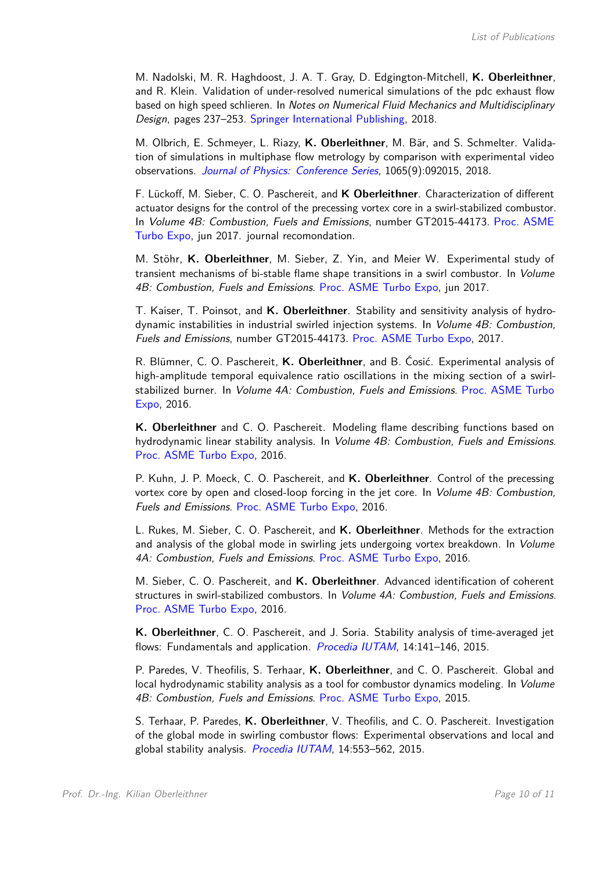M. Nadolski, M. R. Haghdoost, J. A. T. Gray, D. Edgington-Mitchell, **K. Oberleithner**, and R. Klein. Validation of under-resolved numerical simulations of the pdc exhaust flow based on high speed schlieren. In Notes on Numerical Fluid Mechanics and Multidisciplinary Design, pages 237–253. Springer International Publishing, 2018.

M. Olbrich, E. Schmeyer, L. Riazy, **K. Oberleithner**, M. Bär, and S. Schmelter. Validation of simulations in multiphase flow metrology by comparison with experimental video observations. Journal of Physics: Conference Series, 1065(9):092015, 2018.

F. Lückoff, M. Sieber, C. O. Paschereit, and **K Oberleithner**. Characterization of different actuator designs for the control of the precessing vortex core in a swirl-stabilized combustor. In Volume 4B: Combustion, Fuels and Emissions, number GT2015-44173. Proc. ASME Turbo Expo, jun 2017. journal recomondation.

M. Stöhr, **K. Oberleithner**, M. Sieber, Z. Yin, and Meier W. Experimental study of transient mechanisms of bi-stable flame shape transitions in a swirl combustor. In Volume 4B: Combustion, Fuels and Emissions. Proc. ASME Turbo Expo, jun 2017.

T. Kaiser, T. Poinsot, and **K. Oberleithner**. Stability and sensitivity analysis of hydrodynamic instabilities in industrial swirled injection systems. In Volume 4B: Combustion, Fuels and Emissions, number GT2015-44173. Proc. ASME Turbo Expo, 2017.

R. Blümner, C. O. Paschereit, **K. Oberleithner**, and B. Ćosić. Experimental analysis of high-amplitude temporal equivalence ratio oscillations in the mixing section of a swirlstabilized burner. In Volume 4A: Combustion, Fuels and Emissions. Proc. ASME Turbo Expo, 2016.

**K. Oberleithner** and C. O. Paschereit. Modeling flame describing functions based on hydrodynamic linear stability analysis. In *Volume 4B: Combustion, Fuels and Emissions*. Proc. ASME Turbo Expo, 2016.

P. Kuhn, J. P. Moeck, C. O. Paschereit, and **K. Oberleithner**. Control of the precessing vortex core by open and closed-loop forcing in the jet core. In Volume 4B: Combustion, Fuels and Emissions. Proc. ASME Turbo Expo, 2016.

L. Rukes, M. Sieber, C. O. Paschereit, and **K. Oberleithner**. Methods for the extraction and analysis of the global mode in swirling jets undergoing vortex breakdown. In *Volume* 4A: Combustion, Fuels and Emissions. Proc. ASME Turbo Expo, 2016.

M. Sieber, C. O. Paschereit, and **K. Oberleithner**. Advanced identification of coherent structures in swirl-stabilized combustors. In *Volume 4A: Combustion, Fuels and Emissions*. Proc. ASME Turbo Expo, 2016.

**K. Oberleithner**, C. O. Paschereit, and J. Soria. Stability analysis of time-averaged jet flows: Fundamentals and application. *Procedia IUTAM*,  $14:141-146$ ,  $2015$ .

P. Paredes, V. Theofilis, S. Terhaar, **K. Oberleithner**, and C. O. Paschereit. Global and local hydrodynamic stability analysis as a tool for combustor dynamics modeling. In *Volume* 4B: Combustion, Fuels and Emissions. Proc. ASME Turbo Expo, 2015.

S. Terhaar, P. Paredes, **K. Oberleithner**, V. Theofilis, and C. O. Paschereit. Investigation of the global mode in swirling combustor flows: Experimental observations and local and global stability analysis. Procedia IUTAM, 14:553-562, 2015.